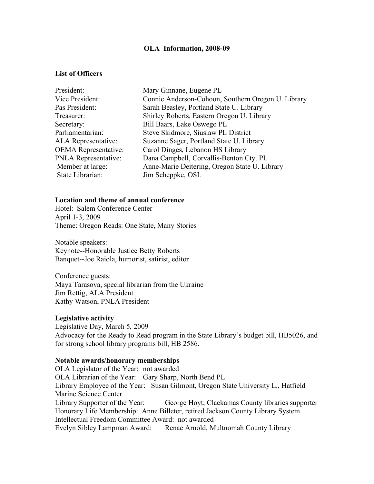### **OLA Information, 2008-09**

## **List of Officers**

| President:                  | Mary Ginnane, Eugene PL                            |
|-----------------------------|----------------------------------------------------|
| Vice President:             | Connie Anderson-Cohoon, Southern Oregon U. Library |
| Pas President:              | Sarah Beasley, Portland State U. Library           |
| Treasurer:                  | Shirley Roberts, Eastern Oregon U. Library         |
| Secretary:                  | Bill Baars, Lake Oswego PL                         |
| Parliamentarian:            | Steve Skidmore, Siuslaw PL District                |
| <b>ALA</b> Representative:  | Suzanne Sager, Portland State U. Library           |
| <b>OEMA</b> Representative: | Carol Dinges, Lebanon HS Library                   |
| <b>PNLA Representative:</b> | Dana Campbell, Corvallis-Benton Cty. PL            |
| Member at large:            | Anne-Marie Deitering, Oregon State U. Library      |
| State Librarian:            | Jim Scheppke, OSL                                  |
|                             |                                                    |

#### **Location and theme of annual conference**

Hotel: Salem Conference Center April 1-3, 2009 Theme: Oregon Reads: One State, Many Stories

Notable speakers: Keynote--Honorable Justice Betty Roberts Banquet--Joe Raiola, humorist, satirist, editor

Conference guests: Maya Tarasova, special librarian from the Ukraine Jim Rettig, ALA President Kathy Watson, PNLA President

### **Legislative activity**

Legislative Day, March 5, 2009 Advocacy for the Ready to Read program in the State Library's budget bill, HB5026, and for strong school library programs bill, HB 2586.

## **Notable awards/honorary memberships**

OLA Legislator of the Year: not awarded OLA Librarian of the Year: Gary Sharp, North Bend PL Library Employee of the Year: Susan Gilmont, Oregon State University L., Hatfield Marine Science Center Library Supporter of the Year: George Hoyt, Clackamas County libraries supporter Honorary Life Membership: Anne Billeter, retired Jackson County Library System Intellectual Freedom Committee Award: not awarded Evelyn Sibley Lampman Award: Renae Arnold, Multnomah County Library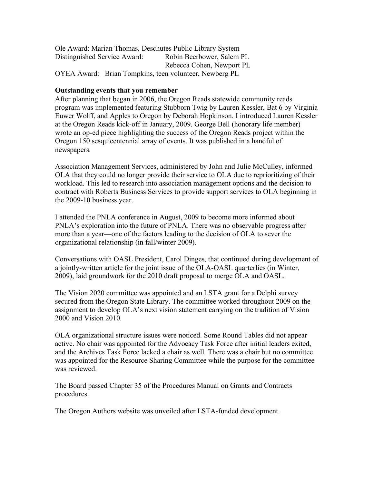Ole Award: Marian Thomas, Deschutes Public Library System Distinguished Service Award: Robin Beerbower, Salem PL Rebecca Cohen, Newport PL OYEA Award: Brian Tompkins, teen volunteer, Newberg PL

# **Outstanding events that you remember**

After planning that began in 2006, the Oregon Reads statewide community reads program was implemented featuring Stubborn Twig by Lauren Kessler, Bat 6 by Virginia Euwer Wolff, and Apples to Oregon by Deborah Hopkinson. I introduced Lauren Kessler at the Oregon Reads kick-off in January, 2009. George Bell (honorary life member) wrote an op-ed piece highlighting the success of the Oregon Reads project within the Oregon 150 sesquicentennial array of events. It was published in a handful of newspapers.

Association Management Services, administered by John and Julie McCulley, informed OLA that they could no longer provide their service to OLA due to reprioritizing of their workload. This led to research into association management options and the decision to contract with Roberts Business Services to provide support services to OLA beginning in the 2009-10 business year.

I attended the PNLA conference in August, 2009 to become more informed about PNLA's exploration into the future of PNLA. There was no observable progress after more than a year—one of the factors leading to the decision of OLA to sever the organizational relationship (in fall/winter 2009).

Conversations with OASL President, Carol Dinges, that continued during development of a jointly-written article for the joint issue of the OLA-OASL quarterlies (in Winter, 2009), laid groundwork for the 2010 draft proposal to merge OLA and OASL.

The Vision 2020 committee was appointed and an LSTA grant for a Delphi survey secured from the Oregon State Library. The committee worked throughout 2009 on the assignment to develop OLA's next vision statement carrying on the tradition of Vision 2000 and Vision 2010.

OLA organizational structure issues were noticed. Some Round Tables did not appear active. No chair was appointed for the Advocacy Task Force after initial leaders exited, and the Archives Task Force lacked a chair as well. There was a chair but no committee was appointed for the Resource Sharing Committee while the purpose for the committee was reviewed.

The Board passed Chapter 35 of the Procedures Manual on Grants and Contracts procedures.

The Oregon Authors website was unveiled after LSTA-funded development.